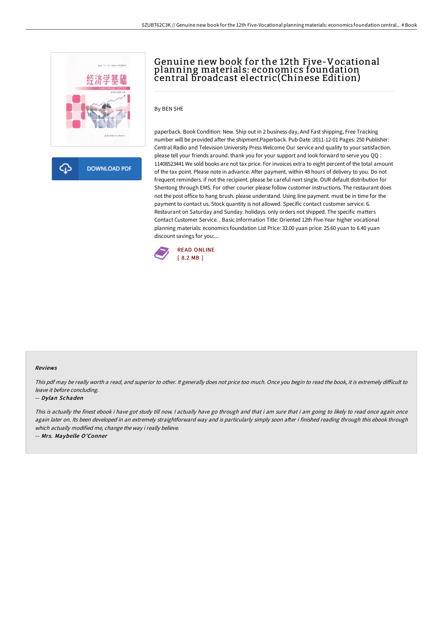

क़ **DOWNLOAD PDF** 

# Genuine new book for the 12th Five-Vocational planning materials: economics foundation central broadcast electric(Chinese Edition)

### By BEN SHE

paperback. Book Condition: New. Ship out in 2 business day, And Fast shipping, Free Tracking number will be provided after the shipment.Paperback. Pub Date :2011-12-01 Pages: 250 Publisher: Central Radio and Television University Press Welcome Our service and quality to your satisfaction. please tell your friends around. thank you for your support and look forward to serve you QQ : 11408523441 We sold books are not tax price. For invoices extra to eight percent of the total amount of the tax point. Please note in advance. After payment. within 48 hours of delivery to you. Do not frequent reminders. if not the recipient. please be careful next single. OUR default distribution for Shentong through EMS. For other courier please follow customer instructions. The restaurant does not the post office to hang brush. please understand. Using line payment. must be in time for the payment to contact us. Stock quantity is not allowed. Specific contact customer service. 6. Restaurant on Saturday and Sunday. holidays. only orders not shipped. The specific matters Contact Customer Service. . Basic Information Title: Oriented 12th Five-Year higher vocational planning materials: economics foundation List Price: 32.00 yuan price: 25.60 yuan to 6.40 yuan discount savings for you:...



#### Reviews

This pdf may be really worth a read, and superior to other. It generally does not price too much. Once you begin to read the book, it is extremely difficult to leave it before concluding.

#### -- Dylan Schaden

This is actually the finest ebook i have got study till now. I actually have go through and that i am sure that i am going to likely to read once again once again later on. Its been developed in an extremely straightforward way and is particularly simply soon after i finished reading through this ebook through which actually modified me, change the way i really believe.

-- Mrs. Maybelle O'Conner